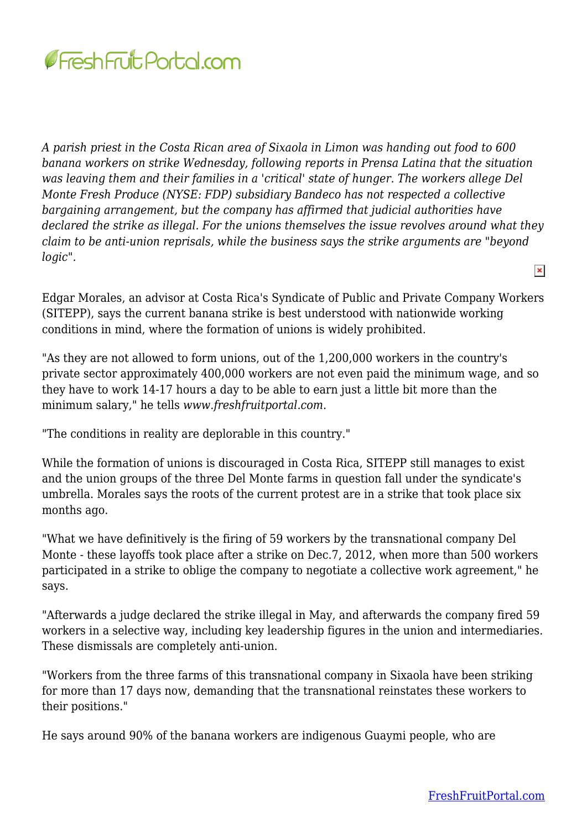

*A parish priest in the Costa Rican area of Sixaola in Limon was handing out food to 600 banana workers on strike Wednesday, following reports in Prensa Latina that the situation was leaving them and their families in a 'critical' state of hunger. The workers allege Del Monte Fresh Produce (NYSE: FDP) subsidiary Bandeco has not respected a collective bargaining arrangement, but the company has affirmed that judicial authorities have declared the strike as illegal. For the unions themselves the issue revolves around what they claim to be anti-union reprisals, while the business says the strike arguments are "beyond logic".*  $\pmb{\times}$ 

Edgar Morales, an advisor at Costa Rica's Syndicate of Public and Private Company Workers (SITEPP), says the current banana strike is best understood with nationwide working conditions in mind, where the formation of unions is widely prohibited.

"As they are not allowed to form unions, out of the 1,200,000 workers in the country's private sector approximately 400,000 workers are not even paid the minimum wage, and so they have to work 14-17 hours a day to be able to earn just a little bit more than the minimum salary," he tells *www.freshfruitportal.com*.

"The conditions in reality are deplorable in this country."

While the formation of unions is discouraged in Costa Rica, SITEPP still manages to exist and the union groups of the three Del Monte farms in question fall under the syndicate's umbrella. Morales says the roots of the current protest are in a strike that took place six months ago.

"What we have definitively is the firing of 59 workers by the transnational company Del Monte - these layoffs took place after a strike on Dec.7, 2012, when more than 500 workers participated in a strike to oblige the company to negotiate a collective work agreement," he says.

"Afterwards a judge declared the strike illegal in May, and afterwards the company fired 59 workers in a selective way, including key leadership figures in the union and intermediaries. These dismissals are completely anti-union.

"Workers from the three farms of this transnational company in Sixaola have been striking for more than 17 days now, demanding that the transnational reinstates these workers to their positions."

He says around 90% of the banana workers are indigenous Guaymi people, who are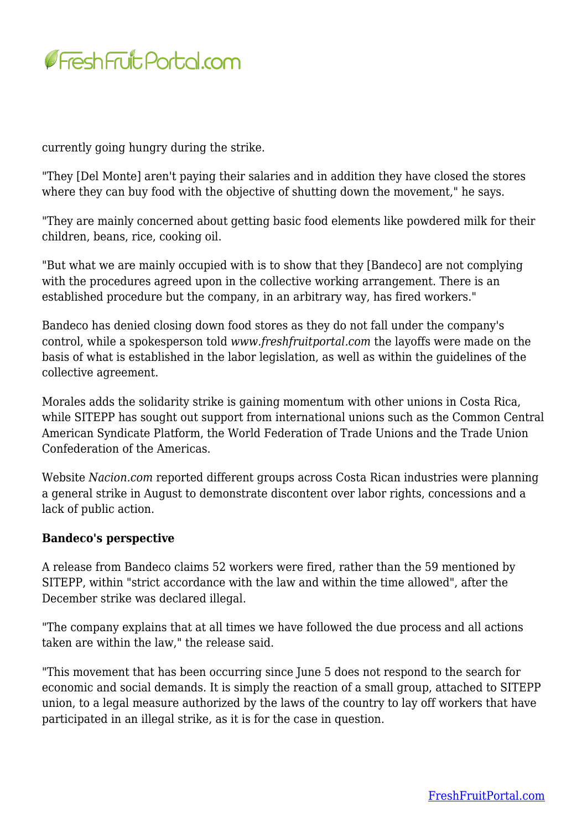

currently going hungry during the strike.

"They [Del Monte] aren't paying their salaries and in addition they have closed the stores where they can buy food with the objective of shutting down the movement," he says.

"They are mainly concerned about getting basic food elements like powdered milk for their children, beans, rice, cooking oil.

"But what we are mainly occupied with is to show that they [Bandeco] are not complying with the procedures agreed upon in the collective working arrangement. There is an established procedure but the company, in an arbitrary way, has fired workers."

Bandeco has denied closing down food stores as they do not fall under the company's control, while a spokesperson told *www.freshfruitportal.com* the layoffs were made on the basis of what is established in the labor legislation, as well as within the guidelines of the collective agreement.

Morales adds the solidarity strike is gaining momentum with other unions in Costa Rica, while SITEPP has sought out support from international unions such as the Common Central American Syndicate Platform, the World Federation of Trade Unions and the Trade Union Confederation of the Americas.

Website *Nacion.com* reported different groups across Costa Rican industries were planning a general strike in August to demonstrate discontent over labor rights, concessions and a lack of public action.

## **Bandeco's perspective**

A release from Bandeco claims 52 workers were fired, rather than the 59 mentioned by SITEPP, within "strict accordance with the law and within the time allowed", after the December strike was declared illegal.

"The company explains that at all times we have followed the due process and all actions taken are within the law," the release said.

"This movement that has been occurring since June 5 does not respond to the search for economic and social demands. It is simply the reaction of a small group, attached to SITEPP union, to a legal measure authorized by the laws of the country to lay off workers that have participated in an illegal strike, as it is for the case in question.